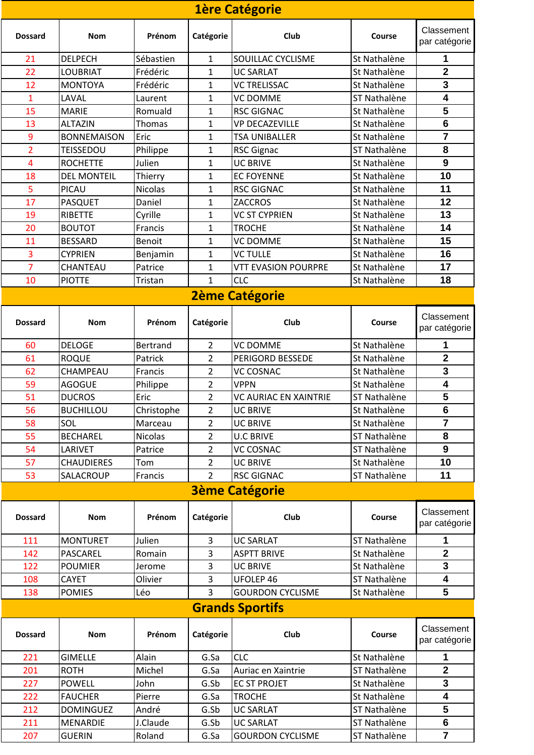| 1ère Catégorie         |                    |                 |                |                              |              |                             |  |  |  |  |
|------------------------|--------------------|-----------------|----------------|------------------------------|--------------|-----------------------------|--|--|--|--|
| <b>Dossard</b>         | <b>Nom</b>         | Prénom          | Catégorie      | Club                         | Course       | Classement<br>par catégorie |  |  |  |  |
| 21                     | <b>DELPECH</b>     | Sébastien       | $\mathbf{1}$   | <b>SOUILLAC CYCLISME</b>     | St Nathalène | 1                           |  |  |  |  |
| 22                     | <b>LOUBRIAT</b>    | Frédéric        | 1              | <b>UC SARLAT</b>             | St Nathalène | 2                           |  |  |  |  |
| 12                     | <b>MONTOYA</b>     | Frédéric        | 1              | <b>VC TRELISSAC</b>          | St Nathalène | 3                           |  |  |  |  |
| $\mathbf{1}$           | LAVAL              | Laurent         | 1              | <b>VC DOMME</b>              | ST Nathalène | 4                           |  |  |  |  |
| 15                     | <b>MARIE</b>       | Romuald         | 1              | <b>RSC GIGNAC</b>            | St Nathalène | 5                           |  |  |  |  |
| 13                     | <b>ALTAZIN</b>     | Thomas          | 1              | <b>VP DECAZEVILLE</b>        | St Nathalène | 6                           |  |  |  |  |
| 9                      | <b>BONNEMAISON</b> | Eric            | 1              | TSA UNIBALLER                | St Nathalène | $\overline{7}$              |  |  |  |  |
| $\overline{2}$         | <b>TEISSEDOU</b>   | Philippe        | $\mathbf 1$    | <b>RSC Gignac</b>            | ST Nathalène | 8                           |  |  |  |  |
| $\overline{4}$         | <b>ROCHETTE</b>    | Julien          | 1              | <b>UC BRIVE</b>              | St Nathalène | 9                           |  |  |  |  |
| 18                     | <b>DEL MONTEIL</b> | Thierry         | $\mathbf{1}$   | <b>EC FOYENNE</b>            | St Nathalène | 10                          |  |  |  |  |
| 5                      | PICAU              | Nicolas         | 1              | <b>RSC GIGNAC</b>            | St Nathalène | 11                          |  |  |  |  |
| 17                     | <b>PASQUET</b>     | Daniel          | 1              | <b>ZACCROS</b>               | St Nathalène | 12                          |  |  |  |  |
| 19                     | <b>RIBETTE</b>     | Cyrille         | 1              | <b>VC ST CYPRIEN</b>         | St Nathalène | 13                          |  |  |  |  |
| 20                     | <b>BOUTOT</b>      | Francis         | 1              | <b>TROCHE</b>                | St Nathalène | 14                          |  |  |  |  |
| 11                     | <b>BESSARD</b>     | <b>Benoit</b>   | 1              | <b>VC DOMME</b>              | St Nathalène | 15                          |  |  |  |  |
| 3                      | <b>CYPRIEN</b>     | Benjamin        | 1              | <b>VC TULLE</b>              | St Nathalène | 16                          |  |  |  |  |
| 7                      | CHANTEAU           | Patrice         | 1              | <b>VTT EVASION POURPRE</b>   | St Nathalène | 17                          |  |  |  |  |
| 10                     | <b>PIOTTE</b>      | Tristan         | 1              | <b>CLC</b>                   | St Nathalène | 18                          |  |  |  |  |
|                        |                    |                 |                | <b>2ème Catégorie</b>        |              |                             |  |  |  |  |
| <b>Dossard</b>         | <b>Nom</b>         | Prénom          | Catégorie      | Club                         | Course       | Classement<br>par catégorie |  |  |  |  |
| 60                     | <b>DELOGE</b>      | <b>Bertrand</b> | $\overline{2}$ | <b>VC DOMME</b>              | St Nathalène | 1                           |  |  |  |  |
| 61                     | <b>ROQUE</b>       | Patrick         | $\overline{2}$ | PERIGORD BESSEDE             | St Nathalène | $\mathbf 2$                 |  |  |  |  |
| 62                     | CHAMPEAU           | Francis         | $\overline{2}$ | <b>VC COSNAC</b>             | St Nathalène | 3                           |  |  |  |  |
| 59                     | <b>AGOGUE</b>      | Philippe        | 2              | VPPN                         | St Nathalène | 4                           |  |  |  |  |
| 51                     | <b>DUCROS</b>      | Eric            | $\overline{2}$ | <b>VC AURIAC EN XAINTRIE</b> | ST Nathalène | 5                           |  |  |  |  |
| 56                     | <b>BUCHILLOU</b>   | Christophe      | 2              | <b>UC BRIVE</b>              | St Nathalène | 6                           |  |  |  |  |
| 58                     | SOL                | Marceau         | $\overline{2}$ | <b>UC BRIVE</b>              | St Nathalène | $\overline{7}$              |  |  |  |  |
| 55                     | <b>BECHAREL</b>    | Nicolas         | $\overline{2}$ | <b>U.C BRIVE</b>             | ST Nathalène | 8                           |  |  |  |  |
| 54                     | LARIVET            | Patrice         | $\overline{2}$ | <b>VC COSNAC</b>             | ST Nathalène | 9                           |  |  |  |  |
| 57                     | <b>CHAUDIERES</b>  | Tom             | $\overline{2}$ | <b>UC BRIVE</b>              | St Nathalène | 10                          |  |  |  |  |
| 53                     | SALACROUP          | Francis         | 2              | <b>RSC GIGNAC</b>            | ST Nathalène | 11                          |  |  |  |  |
| <b>3ème Catégorie</b>  |                    |                 |                |                              |              |                             |  |  |  |  |
| <b>Dossard</b>         | <b>Nom</b>         | Prénom          | Catégorie      | Club                         | Course       | Classement<br>par catégorie |  |  |  |  |
| 111                    | <b>MONTURET</b>    | Julien          | 3              | <b>UC SARLAT</b>             | ST Nathalène | 1                           |  |  |  |  |
| 142                    | PASCAREL           | Romain          | 3              | <b>ASPTT BRIVE</b>           | St Nathalène | $\mathbf 2$                 |  |  |  |  |
| 122                    | <b>POUMIER</b>     | Jerome          | 3              | <b>UC BRIVE</b>              | St Nathalène | 3                           |  |  |  |  |
| 108                    | <b>CAYET</b>       | Olivier         | 3              | UFOLEP 46                    | ST Nathalène | $\overline{\mathbf{4}}$     |  |  |  |  |
| 138                    | <b>POMIES</b>      | Léo             | 3              | <b>GOURDON CYCLISME</b>      | St Nathalène | 5                           |  |  |  |  |
| <b>Grands Sportifs</b> |                    |                 |                |                              |              |                             |  |  |  |  |
| <b>Dossard</b>         | <b>Nom</b>         | Prénom          | Catégorie      | Club                         | Course       | Classement<br>par catégorie |  |  |  |  |
| 221                    | <b>GIMELLE</b>     | Alain           | G.Sa           | <b>CLC</b>                   | St Nathalène | 1                           |  |  |  |  |
| 201                    | <b>ROTH</b>        | Michel          | G.Sa           | Auriac en Xaintrie           | ST Nathalène | $\mathbf 2$                 |  |  |  |  |
| 227                    | <b>POWELL</b>      | John            | G.Sb           | <b>EC ST PROJET</b>          | St Nathalène | 3                           |  |  |  |  |
| 222                    | <b>FAUCHER</b>     | Pierre          | G.Sa           | <b>TROCHE</b>                | St Nathalène | 4                           |  |  |  |  |
| 212                    | <b>DOMINGUEZ</b>   | André           | G.Sb           | <b>UC SARLAT</b>             | ST Nathalène | 5                           |  |  |  |  |
| 211                    | <b>MENARDIE</b>    | J.Claude        | G.Sb           | <b>UC SARLAT</b>             | ST Nathalène | 6                           |  |  |  |  |
| 207                    | <b>GUERIN</b>      | Roland          | G.Sa           | <b>GOURDON CYCLISME</b>      | ST Nathalène | $\overline{7}$              |  |  |  |  |